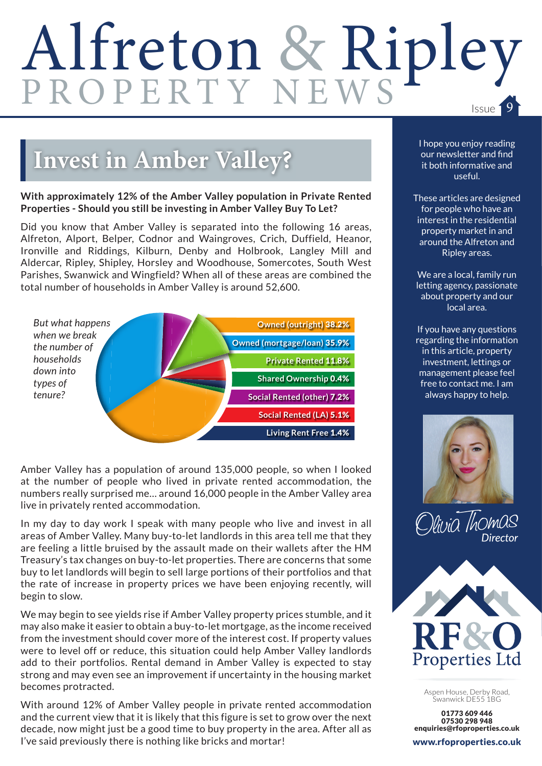# Alfreton & Ripley Issue 1

## **Invest in Amber Valley?**

#### **With approximately 12% of the Amber Valley population in Private Rented Properties - Should you still be investing in Amber Valley Buy To Let?**

Did you know that Amber Valley is separated into the following 16 areas, Alfreton, Alport, Belper, Codnor and Waingroves, Crich, Duffield, Heanor, Ironville and Riddings, Kilburn, Denby and Holbrook, Langley Mill and Aldercar, Ripley, Shipley, Horsley and Woodhouse, Somercotes, South West Parishes, Swanwick and Wingfield? When all of these areas are combined the total number of households in Amber Valley is around 52,600.



Amber Valley has a population of around 135,000 people, so when I looked at the number of people who lived in private rented accommodation, the numbers really surprised me… around 16,000 people in the Amber Valley area live in privately rented accommodation.

In my day to day work I speak with many people who live and invest in all areas of Amber Valley. Many buy-to-let landlords in this area tell me that they are feeling a little bruised by the assault made on their wallets after the HM Treasury's tax changes on buy-to-let properties. There are concerns that some buy to let landlords will begin to sell large portions of their portfolios and that the rate of increase in property prices we have been enjoying recently, will begin to slow.

We may begin to see yields rise if Amber Valley property prices stumble, and it may also make it easier to obtain a buy-to-let mortgage, as the income received from the investment should cover more of the interest cost. If property values were to level off or reduce, this situation could help Amber Valley landlords add to their portfolios. Rental demand in Amber Valley is expected to stay strong and may even see an improvement if uncertainty in the housing market becomes protracted.

With around 12% of Amber Valley people in private rented accommodation and the current view that it is likely that this figure is set to grow over the next decade, now might just be a good time to buy property in the area. After all as I've said previously there is nothing like bricks and mortar!

I hope you enjoy reading our newsletter and find it both informative and useful.

These articles are designed for people who have an interest in the residential property market in and around the Alfreton and Ripley areas.

We are a local, family run letting agency, passionate about property and our local area.

If you have any questions regarding the information in this article, property investment, lettings or management please feel free to contact me. I am always happy to help.







Aspen House, Derby Road, Swanwick DE55 1BG

01773 609 446 07530 298 948 enquiries@rfoproperties.co.uk

www.rfoproperties.co.uk